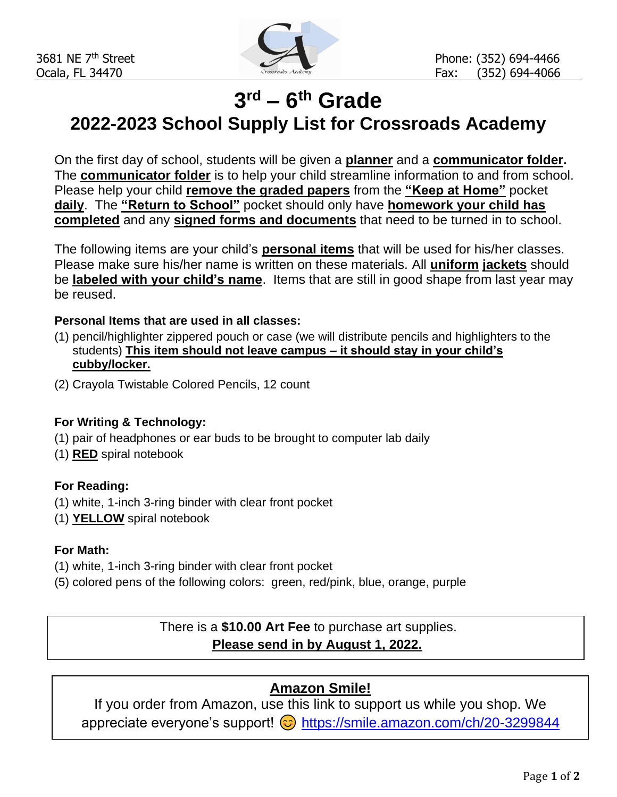

# **3 rd – 6 th Grade**

**2022-2023 School Supply List for Crossroads Academy**

On the first day of school, students will be given a **planner** and a **communicator folder.**  The **communicator folder** is to help your child streamline information to and from school. Please help your child **remove the graded papers** from the **"Keep at Home"** pocket **daily**. The **"Return to School"** pocket should only have **homework your child has completed** and any **signed forms and documents** that need to be turned in to school.

The following items are your child's **personal items** that will be used for his/her classes. Please make sure his/her name is written on these materials. All **uniform jackets** should be **labeled with your child's name**. Items that are still in good shape from last year may be reused.

#### **Personal Items that are used in all classes:**

- (1) pencil/highlighter zippered pouch or case (we will distribute pencils and highlighters to the students) **This item should not leave campus – it should stay in your child's cubby/locker.**
- (2) Crayola Twistable Colored Pencils, 12 count

#### **For Writing & Technology:**

- (1) pair of headphones or ear buds to be brought to computer lab daily
- (1) **RED** spiral notebook

#### **For Reading:**

- (1) white, 1-inch 3-ring binder with clear front pocket
- (1) **YELLOW** spiral notebook

#### **For Math:**

- (1) white, 1-inch 3-ring binder with clear front pocket
- (5) colored pens of the following colors: green, red/pink, blue, orange, purple

## There is a **\$10.00 Art Fee** to purchase art supplies. **Please send in by August 1, 2022.**

## **Amazon Smile!**

If you order from Amazon, use this link to support us while you shop. We appreciate everyone's support!  $\odot$  <https://smile.amazon.com/ch/20-3299844>